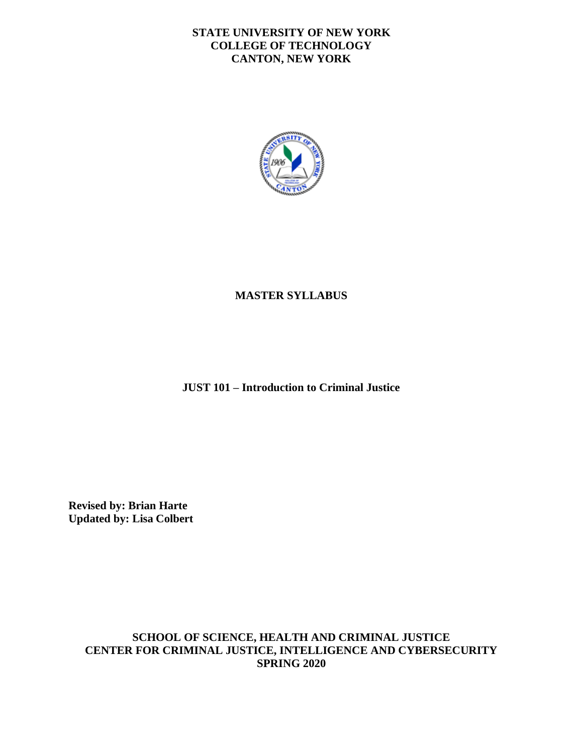#### **STATE UNIVERSITY OF NEW YORK COLLEGE OF TECHNOLOGY CANTON, NEW YORK**



#### **MASTER SYLLABUS**

**JUST 101 – Introduction to Criminal Justice** 

**Revised by: Brian Harte Updated by: Lisa Colbert** 

> **SCHOOL OF SCIENCE, HEALTH AND CRIMINAL JUSTICE CENTER FOR CRIMINAL JUSTICE, INTELLIGENCE AND CYBERSECURITY SPRING 2020**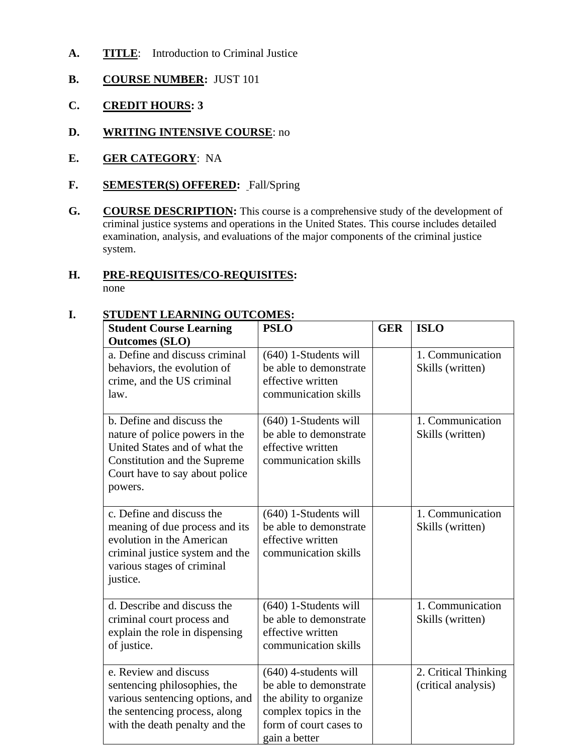- A. TITLE: Introduction to Criminal Justice
- **B. COURSE NUMBER:** JUST 101
- **C. CREDIT HOURS: 3**
- **D. WRITING INTENSIVE COURSE**: no
- **E. GER CATEGORY**: NA
- **F. SEMESTER(S) OFFERED:** Fall/Spring
- **G.** COURSE DESCRIPTION: This course is a comprehensive study of the development of criminal justice systems and operations in the United States. This course includes detailed examination, analysis, and evaluations of the major components of the criminal justice system.

## **H. PRE-REQUISITES/CO-REQUISITES:**

none

#### **I. STUDENT LEARNING OUTCOMES**

| STUDENT LEAKNING OUTCOMES:                                                                                                                                                |                                                                                                                                                  |            |                                             |
|---------------------------------------------------------------------------------------------------------------------------------------------------------------------------|--------------------------------------------------------------------------------------------------------------------------------------------------|------------|---------------------------------------------|
| <b>Student Course Learning</b><br><b>Outcomes (SLO)</b>                                                                                                                   | <b>PSLO</b>                                                                                                                                      | <b>GER</b> | <b>ISLO</b>                                 |
| a. Define and discuss criminal<br>behaviors, the evolution of<br>crime, and the US criminal<br>law.                                                                       | $(640)$ 1-Students will<br>be able to demonstrate<br>effective written<br>communication skills                                                   |            | 1. Communication<br>Skills (written)        |
| b. Define and discuss the<br>nature of police powers in the<br>United States and of what the<br>Constitution and the Supreme<br>Court have to say about police<br>powers. | $(640)$ 1-Students will<br>be able to demonstrate<br>effective written<br>communication skills                                                   |            | 1. Communication<br>Skills (written)        |
| c. Define and discuss the<br>meaning of due process and its<br>evolution in the American<br>criminal justice system and the<br>various stages of criminal<br>justice.     | $(640)$ 1-Students will<br>be able to demonstrate<br>effective written<br>communication skills                                                   |            | 1. Communication<br>Skills (written)        |
| d. Describe and discuss the<br>criminal court process and<br>explain the role in dispensing<br>of justice.                                                                | $(640)$ 1-Students will<br>be able to demonstrate<br>effective written<br>communication skills                                                   |            | 1. Communication<br>Skills (written)        |
| e. Review and discuss<br>sentencing philosophies, the<br>various sentencing options, and<br>the sentencing process, along<br>with the death penalty and the               | $(640)$ 4-students will<br>be able to demonstrate<br>the ability to organize<br>complex topics in the<br>form of court cases to<br>gain a better |            | 2. Critical Thinking<br>(critical analysis) |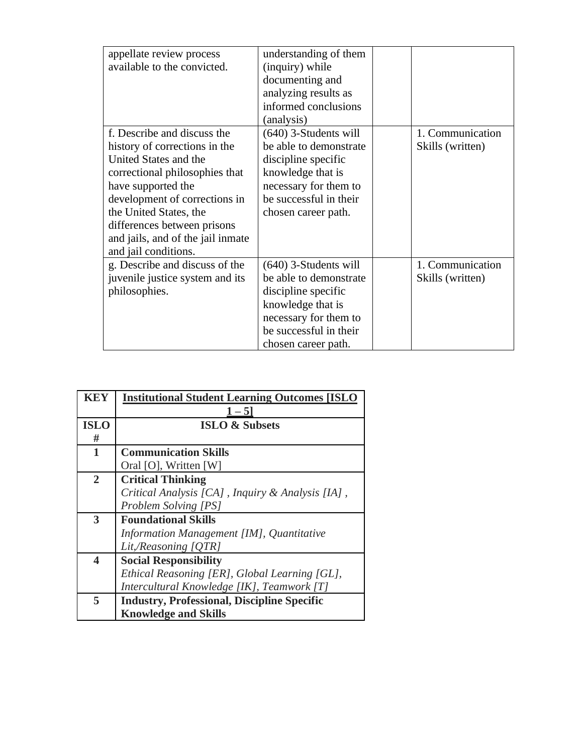| appellate review process<br>available to the convicted.                                                                                                                                                                                                                                              | understanding of them<br>(inquiry) while<br>documenting and<br>analyzing results as<br>informed conclusions<br>(analysis)                                               |                                      |
|------------------------------------------------------------------------------------------------------------------------------------------------------------------------------------------------------------------------------------------------------------------------------------------------------|-------------------------------------------------------------------------------------------------------------------------------------------------------------------------|--------------------------------------|
| f. Describe and discuss the<br>history of corrections in the<br>United States and the<br>correctional philosophies that<br>have supported the<br>development of corrections in<br>the United States, the<br>differences between prisons<br>and jails, and of the jail inmate<br>and jail conditions. | $(640)$ 3-Students will<br>be able to demonstrate<br>discipline specific<br>knowledge that is<br>necessary for them to<br>be successful in their<br>chosen career path. | 1. Communication<br>Skills (written) |
| g. Describe and discuss of the<br>juvenile justice system and its<br>philosophies.                                                                                                                                                                                                                   | $(640)$ 3-Students will<br>be able to demonstrate<br>discipline specific<br>knowledge that is<br>necessary for them to<br>be successful in their<br>chosen career path. | 1. Communication<br>Skills (written) |

| <b>KEY</b>              | <b>Institutional Student Learning Outcomes [ISLO</b><br>$1 - 5$ |  |  |
|-------------------------|-----------------------------------------------------------------|--|--|
| <b>ISLO</b>             | <b>ISLO &amp; Subsets</b>                                       |  |  |
| #                       |                                                                 |  |  |
| $\mathbf{1}$            | <b>Communication Skills</b>                                     |  |  |
|                         | Oral [O], Written [W]                                           |  |  |
| $\overline{2}$          | <b>Critical Thinking</b>                                        |  |  |
|                         | Critical Analysis [CA], Inquiry & Analysis [IA],                |  |  |
|                         | Problem Solving [PS]                                            |  |  |
| 3                       | <b>Foundational Skills</b>                                      |  |  |
|                         | Information Management [IM], Quantitative                       |  |  |
|                         | Lit,/Reasoning [QTR]                                            |  |  |
| $\overline{\mathbf{4}}$ | <b>Social Responsibility</b>                                    |  |  |
|                         | Ethical Reasoning [ER], Global Learning [GL],                   |  |  |
|                         | Intercultural Knowledge [IK], Teamwork [T]                      |  |  |
| 5                       | <b>Industry, Professional, Discipline Specific</b>              |  |  |
|                         | <b>Knowledge and Skills</b>                                     |  |  |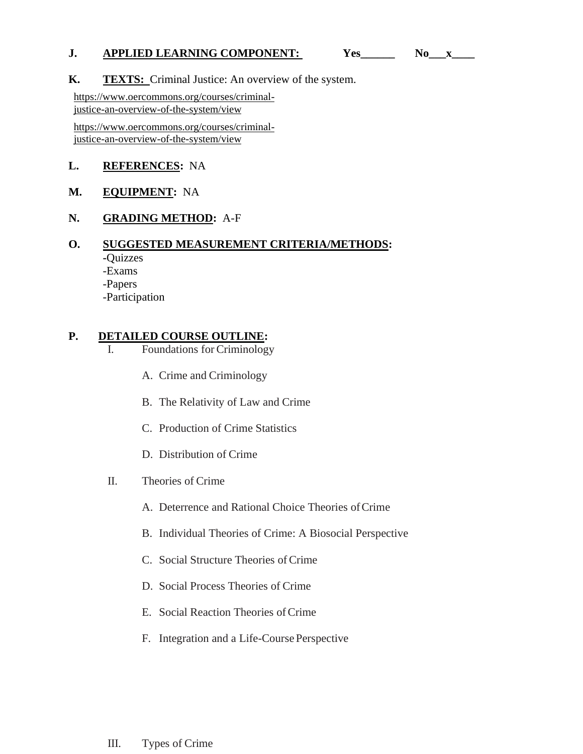# **J. APPLIED LEARNING COMPONENT:** Yes\_\_\_\_\_\_ No\_\_x\_\_\_<br>**K. TEXTS:** Criminal Justice: An overview of the system.

[https://www.oercommons.org/courses/criminal](https://www.oercommons.org/courses/criminal-justice-an-overview-of-the-system/view)[justice-an-overview-of-the-system/view](https://www.oercommons.org/courses/criminal-justice-an-overview-of-the-system/view) 

[https://www.oercommons.org/courses/criminal](https://www.oercommons.org/courses/criminal-justice-an-overview-of-the-system/view)[justice-an-overview-of-the-system/view](https://www.oercommons.org/courses/criminal-justice-an-overview-of-the-system/view) 

#### **L. REFERENCES:** NA

#### **M. EQUIPMENT:** NA

#### **N. GRADING METHOD:** A-F

#### **O. SUGGESTED MEASUREMENT CRITERIA/METHODS:**

- **-**Quizzes
- -Exams
- -Papers
- -Participation

#### **P. DETAILED COURSE OUTLINE:**

- I. Foundations for Criminology
	- A. Crime and Criminology
	- B. The Relativity of Law and Crime
	- C. Production of Crime Statistics
	- D. Distribution of Crime
- II. Theories of Crime
	- A. Deterrence and Rational Choice Theories of Crime
	- B. Individual Theories of Crime: A Biosocial Perspective
	- C. Social Structure Theories of Crime
	- D. Social Process Theories of Crime
	- E. Social Reaction Theories of Crime
	- F. Integration and a Life-Course Perspective